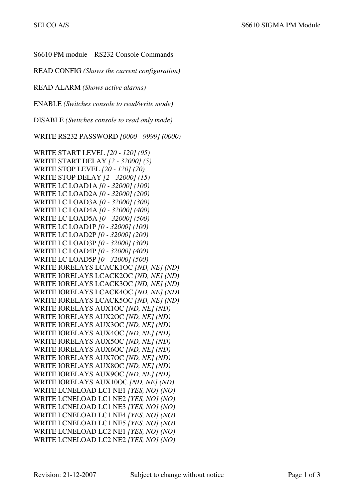S6610 PM module – RS232 Console Commands

READ CONFIG *(Shows the current configuration)*

READ ALARM *(Shows active alarms)* 

ENABLE *(Switches console to read/write mode)* 

DISABLE *(Switches console to read only mode)* 

WRITE RS232 PASSWORD *[0000 - 9999] (0000)*

WRITE START LEVEL *[20 - 120] (95)*  WRITE START DELAY *[2 - 32000] (5)*  WRITE STOP LEVEL *[20 - 120] (70)*  WRITE STOP DELAY *[2 - 32000] (15)*  WRITE LC LOAD1A *[0 - 32000] (100)*  WRITE LC LOAD2A *[0 - 32000] (200)*  WRITE LC LOAD3A *[0 - 32000] (300)*  WRITE LC LOAD4A *[0 - 32000] (400)*  WRITE LC LOAD5A *[0 - 32000] (500)*  WRITE LC LOAD1P *[0 - 32000] (100)*  WRITE LC LOAD2P *[0 - 32000] (200)*  WRITE LC LOAD3P *[0 - 32000] (300)*  WRITE LC LOAD4P *[0 - 32000] (400)*  WRITE LC LOAD5P *[0 - 32000] (500)*  WRITE IORELAYS LCACK1OC *[ND, NE] (ND)*  WRITE IORELAYS LCACK2OC *[ND, NE] (ND)*  WRITE IORELAYS LCACK3OC *[ND, NE] (ND)*  WRITE IORELAYS LCACK4OC *[ND, NE] (ND)*  WRITE IORELAYS LCACK5OC *[ND, NE] (ND)*  WRITE IORELAYS AUX1OC *[ND, NE] (ND)*  WRITE IORELAYS AUX2OC *[ND, NE] (ND)*  WRITE IORELAYS AUX3OC *[ND, NE] (ND)*  WRITE IORELAYS AUX4OC *[ND, NE] (ND)*  WRITE IORELAYS AUX5OC *[ND, NE] (ND)*  WRITE IORELAYS AUX6OC *[ND, NE] (ND)*  WRITE IORELAYS AUX7OC *[ND, NE] (ND)*  WRITE IORELAYS AUX8OC *[ND, NE] (ND)*  WRITE IORELAYS AUX9OC *[ND, NE] (ND)*  WRITE IORELAYS AUX10OC *[ND, NE] (ND)*  WRITE LCNELOAD LC1 NE1 *[YES, NO] (NO)* WRITE LCNELOAD LC1 NE2 *[YES, NO] (NO)* WRITE LCNELOAD LC1 NE3 *[YES, NO] (NO)* WRITE LCNELOAD LC1 NE4 *[YES, NO] (NO)* WRITE LCNELOAD LC1 NE5 *[YES, NO] (NO)* WRITE LCNELOAD LC2 NE1 *[YES, NO] (NO)* WRITE LCNELOAD LC2 NE2 *[YES, NO] (NO)*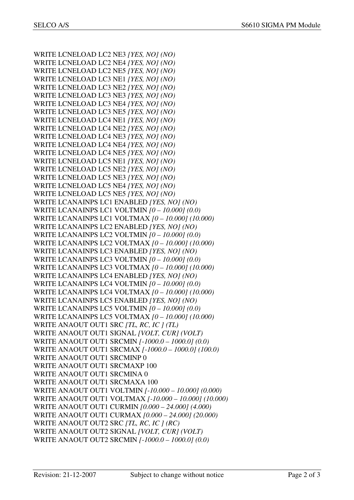WRITE LCNELOAD LC2 NE3 *[YES, NO] (NO)* WRITE LCNELOAD LC2 NE4 *[YES, NO] (NO)* WRITE LCNELOAD LC2 NE5 *[YES, NO] (NO)* WRITE LCNELOAD LC3 NE1 *[YES, NO] (NO)* WRITE LCNELOAD LC3 NE2 *[YES, NO] (NO)* WRITE LCNELOAD LC3 NE3 *[YES, NO] (NO)* WRITE LCNELOAD LC3 NE4 *[YES, NO] (NO)* WRITE LCNELOAD LC3 NE5 *[YES, NO] (NO)* WRITE LCNELOAD LC4 NE1 *[YES, NO] (NO)* WRITE LCNELOAD LC4 NE2 *[YES, NO] (NO)* WRITE LCNELOAD LC4 NE3 *[YES, NO] (NO)* WRITE LCNELOAD LC4 NE4 *[YES, NO] (NO)* WRITE LCNELOAD LC4 NE5 *[YES, NO] (NO)* WRITE LCNELOAD LC5 NE1 *[YES, NO] (NO)* WRITE LCNELOAD LC5 NE2 *[YES, NO] (NO)* WRITE LCNELOAD LC5 NE3 *[YES, NO] (NO)* WRITE LCNELOAD LC5 NE4 *[YES, NO] (NO)* WRITE LCNELOAD LC5 NE5 *[YES, NO] (NO)* WRITE LCANAINPS LC1 ENABLED *[YES, NO] (NO)*  WRITE LCANAINPS LC1 VOLTMIN *[0 – 10.000] (0.0)*  WRITE LCANAINPS LC1 VOLTMAX *[0 – 10.000] (10.000)*  WRITE LCANAINPS LC2 ENABLED *[YES, NO] (NO)*  WRITE LCANAINPS LC2 VOLTMIN *[0 – 10.000] (0.0)*  WRITE LCANAINPS LC2 VOLTMAX *[0 – 10.000] (10.000)*  WRITE LCANAINPS LC3 ENABLED *[YES, NO] (NO)*  WRITE LCANAINPS LC3 VOLTMIN *[0 – 10.000] (0.0)*  WRITE LCANAINPS LC3 VOLTMAX *[0 – 10.000] (10.000)*  WRITE LCANAINPS LC4 ENABLED *[YES, NO] (NO)*  WRITE LCANAINPS LC4 VOLTMIN *[0 – 10.000] (0.0)*  WRITE LCANAINPS LC4 VOLTMAX *[0 – 10.000] (10.000)*  WRITE LCANAINPS LC5 ENABLED *[YES, NO] (NO)*  WRITE LCANAINPS LC5 VOLTMIN *[0 – 10.000] (0.0)*  WRITE LCANAINPS LC5 VOLTMAX *[0 – 10.000] (10.000)*  WRITE ANAOUT OUT1 SRC *[TL, RC, IC ] (TL)*  WRITE ANAOUT OUT1 SIGNAL *[VOLT, CUR] (VOLT)*  WRITE ANAOUT OUT1 SRCMIN *[-1000.0 – 1000.0] (0.0)*  WRITE ANAOUT OUT1 SRCMAX *[-1000.0 – 1000.0] (100.0)*  WRITE ANAOUT OUT1 SRCMINP 0 WRITE ANAOUT OUT1 SRCMAXP 100 WRITE ANAOUT OUT1 SRCMINA 0 WRITE ANAOUT OUT1 SRCMAXA 100 WRITE ANAOUT OUT1 VOLTMIN *[-10.000 – 10.000] (0.000)*  WRITE ANAOUT OUT1 VOLTMAX *[-10.000 – 10.000] (10.000)*  WRITE ANAOUT OUT1 CURMIN *[0.000 – 24.000] (4.000)*  WRITE ANAOUT OUT1 CURMAX *[0.000 – 24.000] (20.000)*  WRITE ANAOUT OUT2 SRC *[TL, RC, IC ] (RC)*  WRITE ANAOUT OUT2 SIGNAL *[VOLT, CUR] (VOLT)*  WRITE ANAOUT OUT2 SRCMIN *[-1000.0 – 1000.0] (0.0)*